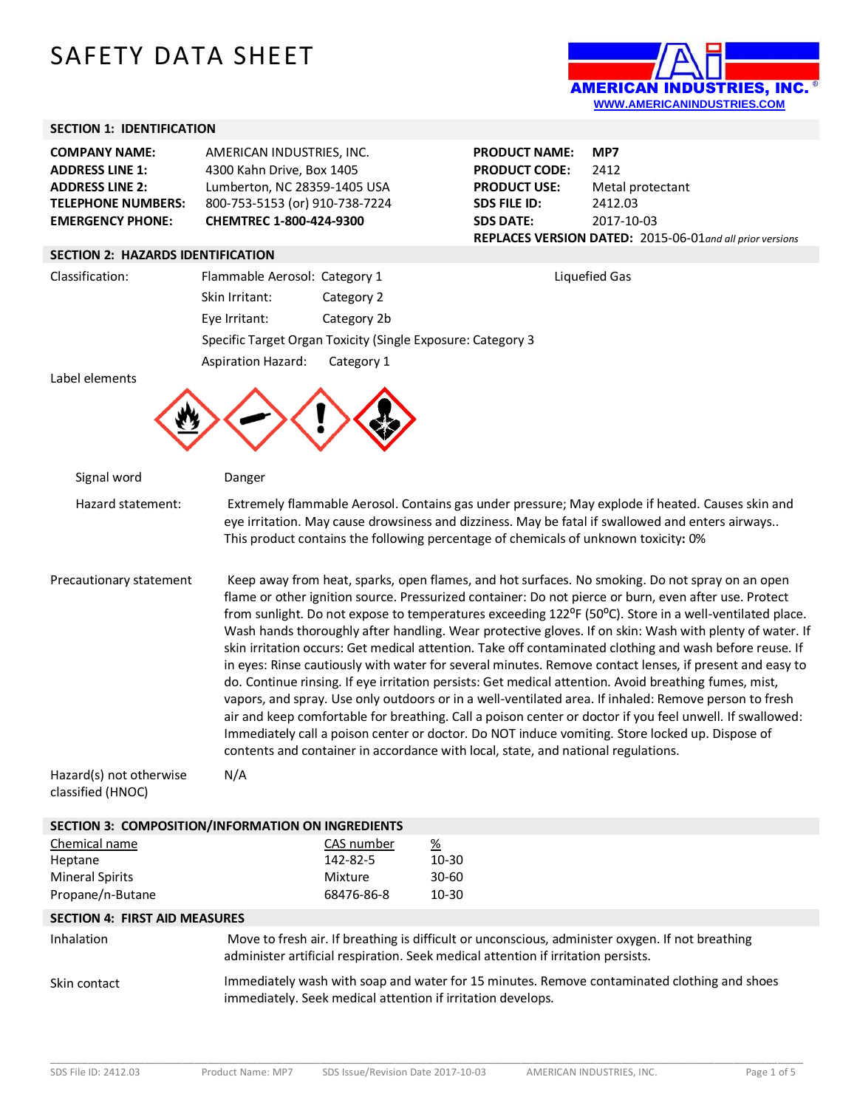# SAFETY DATA SHEET



# **SECTION 1: IDENTIFICATION**

| <b>COMPANY NAME:</b>      | AMERICAN INDUSTRIES, INC.      |
|---------------------------|--------------------------------|
| <b>ADDRESS LINE 1:</b>    | 4300 Kahn Drive, Box 1405      |
| <b>ADDRESS LINE 2:</b>    | Lumberton, NC 28359-1405 USA   |
| <b>TELEPHONE NUMBERS:</b> | 800-753-5153 (or) 910-738-7224 |
| <b>EMERGENCY PHONE:</b>   | CHEMTREC 1-800-424-9300        |

## **SECTION 2: HAZARDS IDENTIFICATION**

**PRODUCT NAME: MP7 PRODUCT CODE:** 2412<br>**PRODUCT USE:** Meta **Metal protectant SDS FILE ID:** 2412.03 **SDS DATE:** 2017-10-03 **REPLACES VERSION DATED:** 2015-06-01*and all prior versions*

| Classification: | Flammable Aerosol: Category 1 |                                                             | Liquefied Gas |
|-----------------|-------------------------------|-------------------------------------------------------------|---------------|
|                 | Skin Irritant:                | Category 2                                                  |               |
|                 | Eve Irritant:                 | Category 2b                                                 |               |
|                 |                               | Specific Target Organ Toxicity (Single Exposure: Category 3 |               |
|                 | Aspiration Hazard:            | Category 1                                                  |               |

Label elements



| Signal word                                                            | Danger                                                                                                                                                                                                                                                                                                                                                                                                                                                                                                                                                                                                                                                                                                                                                                                                                                                                                                                                                                                                                                                                                                                                                                    |  |
|------------------------------------------------------------------------|---------------------------------------------------------------------------------------------------------------------------------------------------------------------------------------------------------------------------------------------------------------------------------------------------------------------------------------------------------------------------------------------------------------------------------------------------------------------------------------------------------------------------------------------------------------------------------------------------------------------------------------------------------------------------------------------------------------------------------------------------------------------------------------------------------------------------------------------------------------------------------------------------------------------------------------------------------------------------------------------------------------------------------------------------------------------------------------------------------------------------------------------------------------------------|--|
| Hazard statement:                                                      | Extremely flammable Aerosol. Contains gas under pressure; May explode if heated. Causes skin and<br>eye irritation. May cause drowsiness and dizziness. May be fatal if swallowed and enters airways<br>This product contains the following percentage of chemicals of unknown toxicity: 0%                                                                                                                                                                                                                                                                                                                                                                                                                                                                                                                                                                                                                                                                                                                                                                                                                                                                               |  |
| Precautionary statement                                                | Keep away from heat, sparks, open flames, and hot surfaces. No smoking. Do not spray on an open<br>flame or other ignition source. Pressurized container: Do not pierce or burn, even after use. Protect<br>from sunlight. Do not expose to temperatures exceeding 122°F (50°C). Store in a well-ventilated place.<br>Wash hands thoroughly after handling. Wear protective gloves. If on skin: Wash with plenty of water. If<br>skin irritation occurs: Get medical attention. Take off contaminated clothing and wash before reuse. If<br>in eyes: Rinse cautiously with water for several minutes. Remove contact lenses, if present and easy to<br>do. Continue rinsing. If eye irritation persists: Get medical attention. Avoid breathing fumes, mist,<br>vapors, and spray. Use only outdoors or in a well-ventilated area. If inhaled: Remove person to fresh<br>air and keep comfortable for breathing. Call a poison center or doctor if you feel unwell. If swallowed:<br>Immediately call a poison center or doctor. Do NOT induce vomiting. Store locked up. Dispose of<br>contents and container in accordance with local, state, and national regulations. |  |
| Hazard(s) not otherwise<br>classified (HNOC)                           | N/A                                                                                                                                                                                                                                                                                                                                                                                                                                                                                                                                                                                                                                                                                                                                                                                                                                                                                                                                                                                                                                                                                                                                                                       |  |
|                                                                        | SECTION 3: COMPOSITION/INFORMATION ON INGREDIENTS                                                                                                                                                                                                                                                                                                                                                                                                                                                                                                                                                                                                                                                                                                                                                                                                                                                                                                                                                                                                                                                                                                                         |  |
| Chemical name<br>Heptane<br><b>Mineral Spirits</b><br>Propane/n-Butane | $\frac{\%}{\sqrt{2}}$<br>CAS number<br>10-30<br>142-82-5<br>Mixture<br>$30 - 60$<br>68476-86-8<br>10-30                                                                                                                                                                                                                                                                                                                                                                                                                                                                                                                                                                                                                                                                                                                                                                                                                                                                                                                                                                                                                                                                   |  |
| <b>SECTION 4: FIRST AID MEASURES</b>                                   |                                                                                                                                                                                                                                                                                                                                                                                                                                                                                                                                                                                                                                                                                                                                                                                                                                                                                                                                                                                                                                                                                                                                                                           |  |
| Inhalation                                                             | Move to fresh air. If breathing is difficult or unconscious, administer oxygen. If not breathing<br>administer artificial respiration. Seek medical attention if irritation persists.                                                                                                                                                                                                                                                                                                                                                                                                                                                                                                                                                                                                                                                                                                                                                                                                                                                                                                                                                                                     |  |
| Skin contact                                                           | Immediately wash with soap and water for 15 minutes. Remove contaminated clothing and shoes<br>immediately. Seek medical attention if irritation develops.                                                                                                                                                                                                                                                                                                                                                                                                                                                                                                                                                                                                                                                                                                                                                                                                                                                                                                                                                                                                                |  |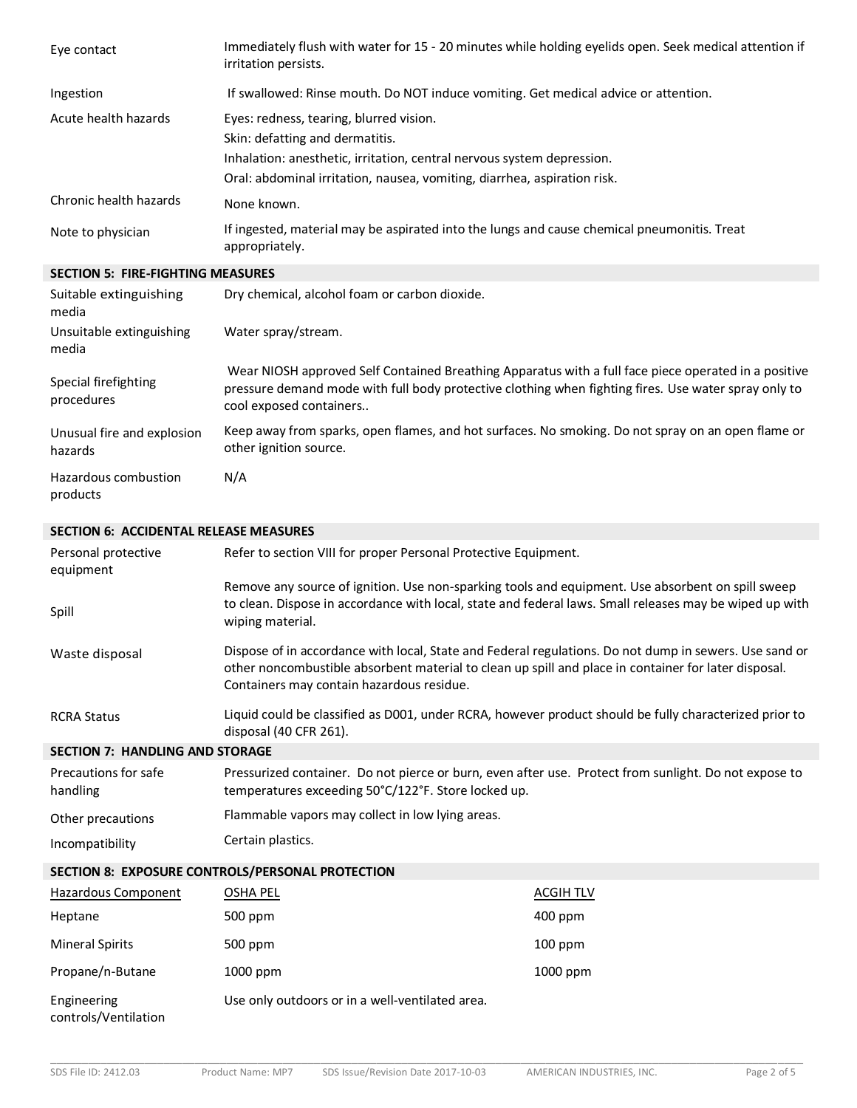| Eye contact                                   | Immediately flush with water for 15 - 20 minutes while holding eyelids open. Seek medical attention if<br>irritation persists.                                                                                                                              |
|-----------------------------------------------|-------------------------------------------------------------------------------------------------------------------------------------------------------------------------------------------------------------------------------------------------------------|
| Ingestion                                     | If swallowed: Rinse mouth. Do NOT induce vomiting. Get medical advice or attention.                                                                                                                                                                         |
| Acute health hazards                          | Eyes: redness, tearing, blurred vision.<br>Skin: defatting and dermatitis.<br>Inhalation: anesthetic, irritation, central nervous system depression.<br>Oral: abdominal irritation, nausea, vomiting, diarrhea, aspiration risk.                            |
| Chronic health hazards                        | None known.                                                                                                                                                                                                                                                 |
| Note to physician                             | If ingested, material may be aspirated into the lungs and cause chemical pneumonitis. Treat<br>appropriately.                                                                                                                                               |
| <b>SECTION 5: FIRE-FIGHTING MEASURES</b>      |                                                                                                                                                                                                                                                             |
| Suitable extinguishing<br>media               | Dry chemical, alcohol foam or carbon dioxide.                                                                                                                                                                                                               |
| Unsuitable extinguishing<br>media             | Water spray/stream.                                                                                                                                                                                                                                         |
| Special firefighting<br>procedures            | Wear NIOSH approved Self Contained Breathing Apparatus with a full face piece operated in a positive<br>pressure demand mode with full body protective clothing when fighting fires. Use water spray only to<br>cool exposed containers                     |
| Unusual fire and explosion<br>hazards         | Keep away from sparks, open flames, and hot surfaces. No smoking. Do not spray on an open flame or<br>other ignition source.                                                                                                                                |
| Hazardous combustion<br>products              | N/A                                                                                                                                                                                                                                                         |
| <b>SECTION 6: ACCIDENTAL RELEASE MEASURES</b> |                                                                                                                                                                                                                                                             |
| Personal protective<br>equipment              | Refer to section VIII for proper Personal Protective Equipment.                                                                                                                                                                                             |
| Spill                                         | Remove any source of ignition. Use non-sparking tools and equipment. Use absorbent on spill sweep<br>to clean. Dispose in accordance with local, state and federal laws. Small releases may be wiped up with<br>wiping material.                            |
| Waste disposal                                | Dispose of in accordance with local, State and Federal regulations. Do not dump in sewers. Use sand or<br>other noncombustible absorbent material to clean up spill and place in container for later disposal.<br>Containers may contain hazardous residue. |
| <b>RCRA Status</b>                            | Liquid could be classified as D001, under RCRA, however product should be fully characterized prior to<br>disposal (40 CFR 261).                                                                                                                            |
| <b>SECTION 7: HANDLING AND STORAGE</b>        |                                                                                                                                                                                                                                                             |
| Precautions for safe<br>handling              | Pressurized container. Do not pierce or burn, even after use. Protect from sunlight. Do not expose to<br>temperatures exceeding 50°C/122°F. Store locked up.                                                                                                |
| Other precautions                             | Flammable vapors may collect in low lying areas.                                                                                                                                                                                                            |
| Incompatibility                               | Certain plastics.                                                                                                                                                                                                                                           |

# **SECTION 8: EXPOSURE CONTROLS/PERSONAL PROTECTION**

| Hazardous Component                 | OSHA PEL                                        | ACGIH TLV  |
|-------------------------------------|-------------------------------------------------|------------|
| Heptane                             | 500 ppm                                         | 400 ppm    |
| <b>Mineral Spirits</b>              | 500 ppm                                         | $100$ ppm  |
| Propane/n-Butane                    | $1000$ ppm                                      | $1000$ ppm |
| Engineering<br>controls/Ventilation | Use only outdoors or in a well-ventilated area. |            |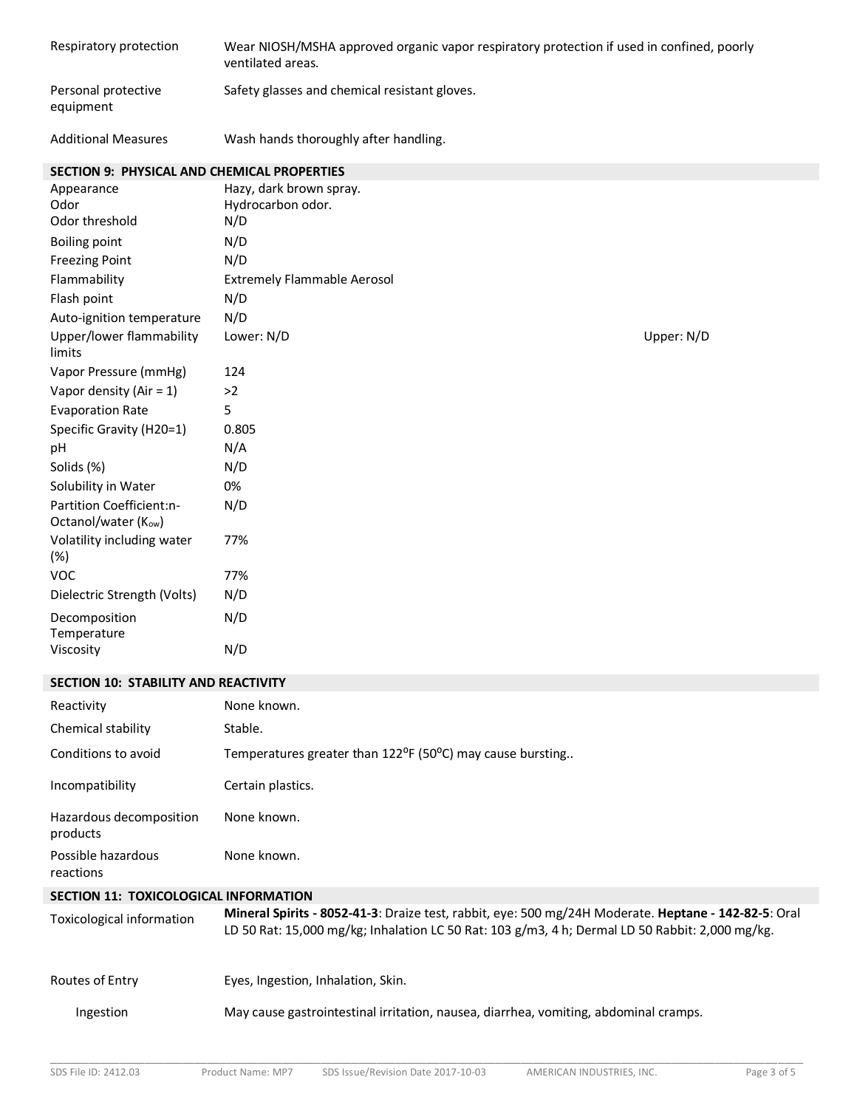| Respiratory protection                             | Wear NIOSH/MSHA approved organic vapor respiratory protection if used in confined, poorly<br>ventilated areas.                                                                                          |            |
|----------------------------------------------------|---------------------------------------------------------------------------------------------------------------------------------------------------------------------------------------------------------|------------|
| Personal protective<br>equipment                   | Safety glasses and chemical resistant gloves.                                                                                                                                                           |            |
| <b>Additional Measures</b>                         | Wash hands thoroughly after handling.                                                                                                                                                                   |            |
| <b>SECTION 9: PHYSICAL AND CHEMICAL PROPERTIES</b> |                                                                                                                                                                                                         |            |
| Appearance                                         | Hazy, dark brown spray.                                                                                                                                                                                 |            |
| Odor<br>Odor threshold                             | Hydrocarbon odor.<br>N/D                                                                                                                                                                                |            |
| <b>Boiling point</b>                               | N/D                                                                                                                                                                                                     |            |
| <b>Freezing Point</b>                              | N/D                                                                                                                                                                                                     |            |
| Flammability                                       | <b>Extremely Flammable Aerosol</b>                                                                                                                                                                      |            |
| Flash point                                        | N/D                                                                                                                                                                                                     |            |
| Auto-ignition temperature                          | N/D                                                                                                                                                                                                     |            |
| Upper/lower flammability<br>limits                 | Lower: N/D                                                                                                                                                                                              | Upper: N/D |
| Vapor Pressure (mmHg)                              | 124                                                                                                                                                                                                     |            |
| Vapor density (Air = $1$ )                         | $>2$                                                                                                                                                                                                    |            |
| <b>Evaporation Rate</b>                            | 5                                                                                                                                                                                                       |            |
| Specific Gravity (H20=1)                           | 0.805                                                                                                                                                                                                   |            |
| pH                                                 | N/A                                                                                                                                                                                                     |            |
| Solids (%)                                         | N/D                                                                                                                                                                                                     |            |
| Solubility in Water                                | 0%                                                                                                                                                                                                      |            |
| Partition Coefficient:n-<br>Octanol/water (Kow)    | N/D                                                                                                                                                                                                     |            |
| Volatility including water<br>$(\%)$               | 77%                                                                                                                                                                                                     |            |
| <b>VOC</b>                                         | 77%                                                                                                                                                                                                     |            |
| Dielectric Strength (Volts)                        | N/D                                                                                                                                                                                                     |            |
| Decomposition<br>Temperature                       | N/D                                                                                                                                                                                                     |            |
| Viscosity                                          | N/D                                                                                                                                                                                                     |            |
| SECTION 10: STABILITY AND REACTIVITY               |                                                                                                                                                                                                         |            |
| Reactivity                                         | None known.                                                                                                                                                                                             |            |
| Chemical stability                                 | Stable.                                                                                                                                                                                                 |            |
| Conditions to avoid                                | Temperatures greater than 122°F (50°C) may cause bursting                                                                                                                                               |            |
| Incompatibility                                    | Certain plastics.                                                                                                                                                                                       |            |
| Hazardous decomposition<br>products                | None known.                                                                                                                                                                                             |            |
| Possible hazardous<br>reactions                    | None known.                                                                                                                                                                                             |            |
| SECTION 11: TOXICOLOGICAL INFORMATION              |                                                                                                                                                                                                         |            |
| <b>Toxicological information</b>                   | Mineral Spirits - 8052-41-3: Draize test, rabbit, eye: 500 mg/24H Moderate. Heptane - 142-82-5: Oral<br>LD 50 Rat: 15,000 mg/kg; Inhalation LC 50 Rat: 103 g/m3, 4 h; Dermal LD 50 Rabbit: 2,000 mg/kg. |            |
| Routes of Entry                                    | Eyes, Ingestion, Inhalation, Skin.                                                                                                                                                                      |            |
| Ingestion                                          | May cause gastrointestinal irritation, nausea, diarrhea, vomiting, abdominal cramps.                                                                                                                    |            |
|                                                    |                                                                                                                                                                                                         |            |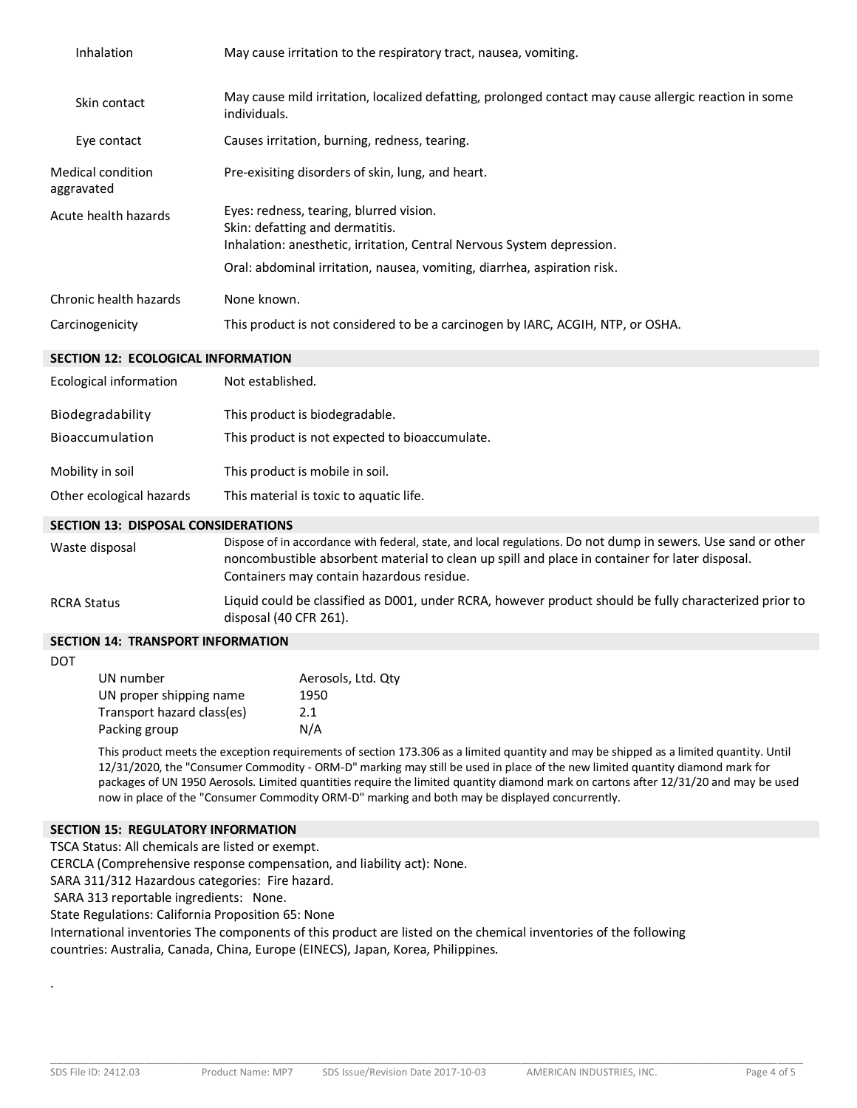| Inhalation                             | May cause irritation to the respiratory tract, nausea, vomiting.                                                                                                                                                                 |
|----------------------------------------|----------------------------------------------------------------------------------------------------------------------------------------------------------------------------------------------------------------------------------|
| Skin contact                           | May cause mild irritation, localized defatting, prolonged contact may cause allergic reaction in some<br>individuals.                                                                                                            |
| Eye contact                            | Causes irritation, burning, redness, tearing.                                                                                                                                                                                    |
| <b>Medical condition</b><br>aggravated | Pre-exisiting disorders of skin, lung, and heart.                                                                                                                                                                                |
| Acute health hazards                   | Eyes: redness, tearing, blurred vision.<br>Skin: defatting and dermatitis.<br>Inhalation: anesthetic, irritation, Central Nervous System depression.<br>Oral: abdominal irritation, nausea, vomiting, diarrhea, aspiration risk. |
| Chronic health hazards                 | None known.                                                                                                                                                                                                                      |
| Carcinogenicity                        | This product is not considered to be a carcinogen by IARC, ACGIH, NTP, or OSHA.                                                                                                                                                  |

#### **SECTION 12: ECOLOGICAL INFORMATION**

| <b>Ecological information</b> | Not established.                               |
|-------------------------------|------------------------------------------------|
| Biodegradability              | This product is biodegradable.                 |
| Bioaccumulation               | This product is not expected to bioaccumulate. |
| Mobility in soil              | This product is mobile in soil.                |
| Other ecological hazards      | This material is toxic to aquatic life.        |

#### **SECTION 13: DISPOSAL CONSIDERATIONS**

| Waste disposal | Dispose of in accordance with federal, state, and local regulations. Do not dump in sewers. Use sand or other<br>noncombustible absorbent material to clean up spill and place in container for later disposal.<br>Containers may contain hazardous residue. |
|----------------|--------------------------------------------------------------------------------------------------------------------------------------------------------------------------------------------------------------------------------------------------------------|
| RCRA Status    | Liquid could be classified as D001, under RCRA, however product should be fully characterized prior to<br>disposal (40 CFR 261).                                                                                                                             |

## **SECTION 14: TRANSPORT INFORMATION**

DOT

| UN number                  | Aerosols, Ltd. Qty |
|----------------------------|--------------------|
| UN proper shipping name    | 1950               |
| Transport hazard class(es) | 2.1                |
| Packing group              | N/A                |

This product meets the exception requirements of section 173.306 as a limited quantity and may be shipped as a limited quantity. Until 12/31/2020, the "Consumer Commodity - ORM-D" marking may still be used in place of the new limited quantity diamond mark for packages of UN 1950 Aerosols. Limited quantities require the limited quantity diamond mark on cartons after 12/31/20 and may be used now in place of the "Consumer Commodity ORM-D" marking and both may be displayed concurrently.

#### **SECTION 15: REGULATORY INFORMATION**

TSCA Status: All chemicals are listed or exempt.

CERCLA (Comprehensive response compensation, and liability act): None.

SARA 311/312 Hazardous categories: Fire hazard.

SARA 313 reportable ingredients: None.

State Regulations: California Proposition 65: None

International inventories The components of this product are listed on the chemical inventories of the following countries: Australia, Canada, China, Europe (EINECS), Japan, Korea, Philippines.

.